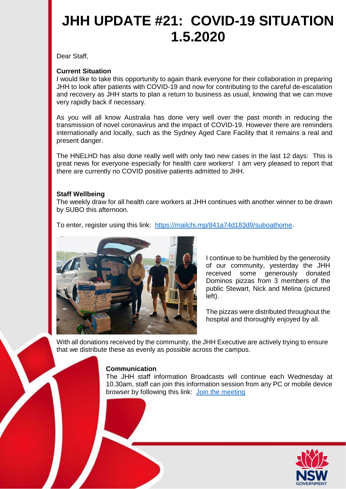## **JHH UPDATE #21: COVID-19 SITUATION 1.5.2020**

Dear Staff,

## **Current Situation**

I would like to take this opportunity to again thank everyone for their collaboration in preparing JHH to look after patients with COVID-19 and now for contributing to the careful de-escalation and recovery as JHH starts to plan a return to business as usual, knowing that we can move very rapidly back if necessary.

As you will all know Australia has done very well over the past month in reducing the transmission of novel coronavirus and the impact of COVID-19. However there are reminders internationally and locally, such as the Sydney Aged Care Facility that it remains a real and present danger.

The HNELHD has also done really well with only two new cases in the last 12 days: This is great news for everyone especially for health care workers! I am very pleased to report that there are currently no COVID positive patients admitted to JHH.

## **Staff Wellbeing**

The weekly draw for all health care workers at JHH continues with another winner to be drawn by SUBO this afternoon.

To enter, register using this link: [https://mailchi.mp/841a74d183d9/suboathome.](https://mailchi.mp/841a74d183d9/suboathome)



I continue to be humbled by the generosity of our community, yesterday the JHH received some generously donated Dominos pizzas from 3 members of the public Stewart, Nick and Melina (pictured left).

The pizzas were distributed throughout the hospital and thoroughly enjoyed by all.

With all donations received by the community, the JHH Executive are actively trying to ensure that we distribute these as evenly as possible across the campus.

## **Communication**

The JHH staff information Broadcasts will continue each Wednesday at 10.30am, staff can join this information session from any PC or mobile device browser by following this link: [Join the meeting](https://join-apac.broadcast.skype.com/health.nsw.gov.au/3fe998f9187b4760830990e7f067929d)